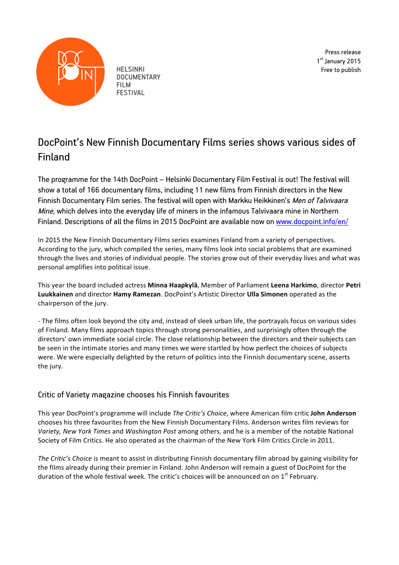

**HELSINKI DOCUMENTARY FILM FESTIVAL** 

Press release 1<sup>st</sup> January 2015 Free to publish

# DocPoint's New Finnish Documentary Films series shows various sides of Finland

The programme for the 14th DocPoint – Helsinki Documentary Film Festival is out! The festival will show a total of 166 documentary films, including 11 new films from Finnish directors in the New Finnish Documentary Film series. The festival will open with Markku Heikkinen's Men of Talvivaara Mine, which delves into the everyday life of miners in the infamous Talvivaara mine in Northern Finland. Descriptions of all the films in 2015 DocPoint are available now on www.docpoint.info/en/

In 2015 the New Finnish Documentary Films series examines Finland from a variety of perspectives. According to the jury, which compiled the series, many films look into social problems that are examined through the lives and stories of individual people. The stories grow out of their everyday lives and what was personal amplifies into political issue.

This year the board included actress Minna Haapkylä, Member of Parliament Leena Harkimo, director Petri **Luukkainen** and director **Hamy Ramezan**. DocPoint's Artistic Director **Ulla Simonen** operated as the chairperson of the jury.

- The films often look beyond the city and, instead of sleek urban life, the portrayals focus on various sides of Finland. Many films approach topics through strong personalities, and surprisingly often through the directors' own immediate social circle. The close relationship between the directors and their subjects can be seen in the intimate stories and many times we were startled by how perfect the choices of subjects were. We were especially delighted by the return of politics into the Finnish documentary scene, asserts the jury.

## Critic of Variety magazine chooses his Finnish favourites

This year DocPoint's programme will include *The Critic's Choice*, where American film critic **John Anderson** chooses his three favourites from the New Finnish Documentary Films. Anderson writes film reviews for *Variety, New York Times* and *Washington Post* among others, and he is a member of the notable National Society of Film Critics. He also operated as the chairman of the New York Film Critics Circle in 2011.

*The Critic's Choice* is meant to assist in distributing Finnish documentary film abroad by gaining visibility for the films already during their premier in Finland. John Anderson will remain a guest of DocPoint for the duration of the whole festival week. The critic's choices will be announced on on  $1^{st}$  February.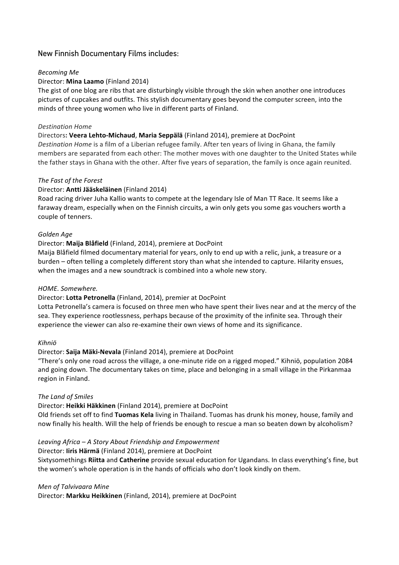## New Finnish Documentary Films includes:

#### *Becoming Me*

#### Director: **Mina Laamo** (Finland 2014)

The gist of one blog are ribs that are disturbingly visible through the skin when another one introduces pictures of cupcakes and outfits. This stylish documentary goes beyond the computer screen, into the minds of three young women who live in different parts of Finland.

#### *Destination Home*

#### Directors**: Veera Lehto-Michaud**, **Maria Seppälä** (Finland 2014), premiere at DocPoint

*Destination Home* is a film of a Liberian refugee family. After ten years of living in Ghana, the family members are separated from each other: The mother moves with one daughter to the United States while the father stays in Ghana with the other. After five years of separation, the family is once again reunited.

#### *The Fast of the Forest*

#### Director: **Antti Jääskeläinen** (Finland 2014)

Road racing driver Juha Kallio wants to compete at the legendary Isle of Man TT Race. It seems like a faraway dream, especially when on the Finnish circuits, a win only gets you some gas vouchers worth a couple of tenners.

#### *Golden Age*

#### Director: Maija Blåfield (Finland, 2014), premiere at DocPoint

Maija Blåfield filmed documentary material for years, only to end up with a relic, junk, a treasure or a burden – often telling a completely different story than what she intended to capture. Hilarity ensues, when the images and a new soundtrack is combined into a whole new story.

#### *HOME. Somewhere.*

#### Director: Lotta Petronella (Finland, 2014), premier at DocPoint

Lotta Petronella's camera is focused on three men who have spent their lives near and at the mercy of the sea. They experience rootlessness, perhaps because of the proximity of the infinite sea. Through their experience the viewer can also re-examine their own views of home and its significance.

#### *Kihniö*

#### Director: Saija Mäki-Nevala (Finland 2014), premiere at DocPoint

"There's only one road across the village, a one-minute ride on a rigged moped." Kihniö, population 2084 and going down. The documentary takes on time, place and belonging in a small village in the Pirkanmaa region in Finland.

#### **The Land of Smiles**

#### Director: Heikki Häkkinen (Finland 2014), premiere at DocPoint Old friends set off to find Tuomas Kela living in Thailand. Tuomas has drunk his money, house, family and

now finally his health. Will the help of friends be enough to rescue a man so beaten down by alcoholism?

## *Leaving Africa – A Story About Friendship and Empowerment*

## Director: liris Härmä (Finland 2014), premiere at DocPoint

Sixtysomethings Riitta and Catherine provide sexual education for Ugandans. In class everything's fine, but the women's whole operation is in the hands of officials who don't look kindly on them.

*Men of Talvivaara Mine*

Director: Markku Heikkinen (Finland, 2014), premiere at DocPoint